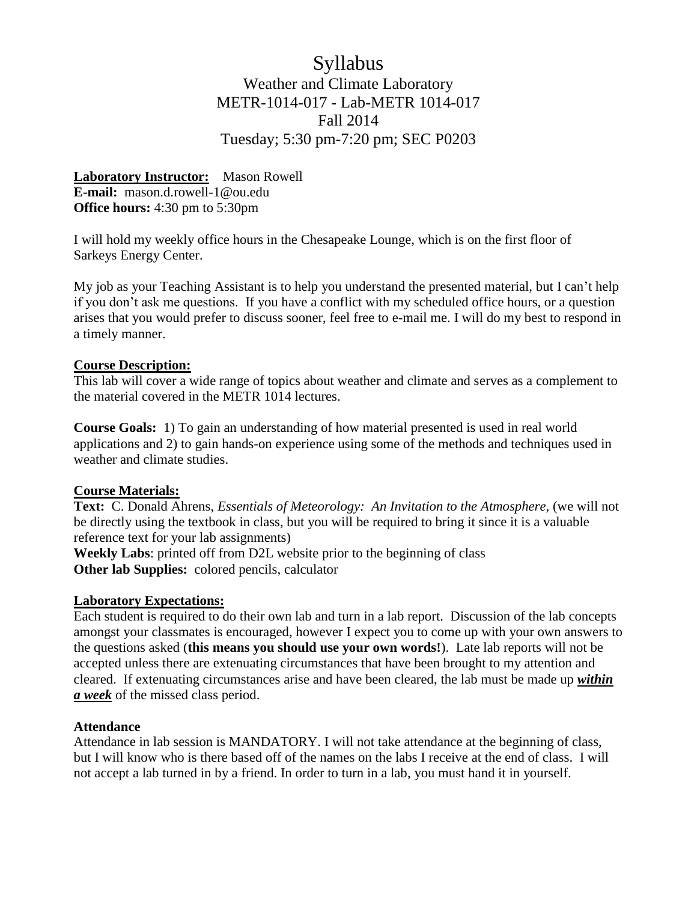# Syllabus Weather and Climate Laboratory METR-1014-017 - Lab-METR 1014-017 Fall 2014 Tuesday; 5:30 pm-7:20 pm; SEC P0203

**Laboratory Instructor:** Mason Rowell **E-mail:** mason.d.rowell-1@ou.edu **Office hours:** 4:30 pm to 5:30pm

I will hold my weekly office hours in the Chesapeake Lounge, which is on the first floor of Sarkeys Energy Center.

My job as your Teaching Assistant is to help you understand the presented material, but I can't help if you don't ask me questions. If you have a conflict with my scheduled office hours, or a question arises that you would prefer to discuss sooner, feel free to e-mail me. I will do my best to respond in a timely manner.

### **Course Description:**

This lab will cover a wide range of topics about weather and climate and serves as a complement to the material covered in the METR 1014 lectures.

**Course Goals:** 1) To gain an understanding of how material presented is used in real world applications and 2) to gain hands-on experience using some of the methods and techniques used in weather and climate studies.

### **Course Materials:**

**Text:** C. Donald Ahrens, *Essentials of Meteorology: An Invitation to the Atmosphere,* (we will not be directly using the textbook in class, but you will be required to bring it since it is a valuable reference text for your lab assignments)

**Weekly Labs**: printed off from D2L website prior to the beginning of class **Other lab Supplies:** colored pencils, calculator

### **Laboratory Expectations:**

Each student is required to do their own lab and turn in a lab report. Discussion of the lab concepts amongst your classmates is encouraged, however I expect you to come up with your own answers to the questions asked (**this means you should use your own words!**). Late lab reports will not be accepted unless there are extenuating circumstances that have been brought to my attention and cleared. If extenuating circumstances arise and have been cleared, the lab must be made up *within a week* of the missed class period.

## **Attendance**

Attendance in lab session is MANDATORY. I will not take attendance at the beginning of class, but I will know who is there based off of the names on the labs I receive at the end of class. I will not accept a lab turned in by a friend. In order to turn in a lab, you must hand it in yourself.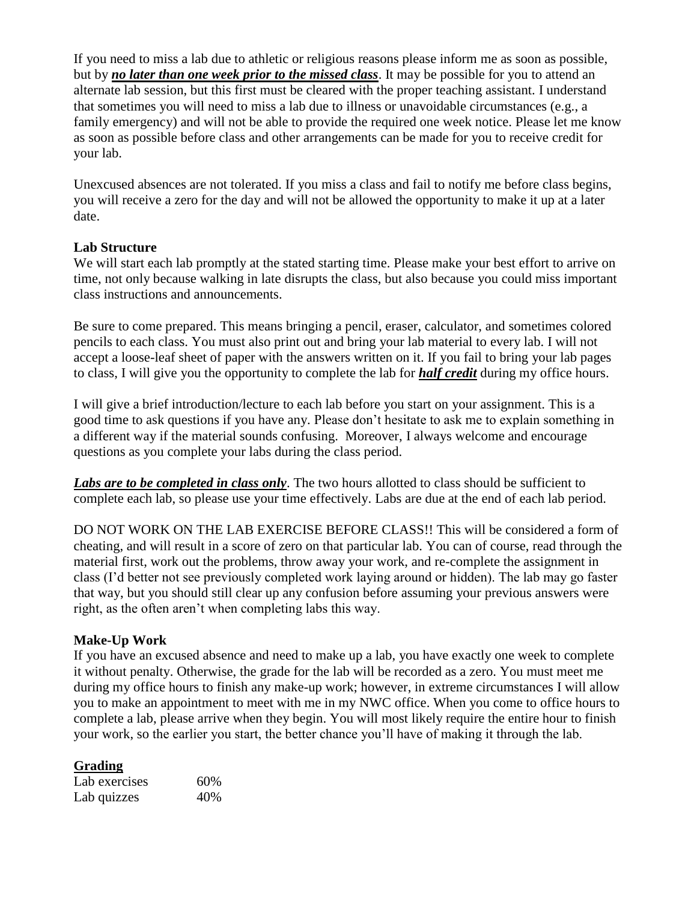If you need to miss a lab due to athletic or religious reasons please inform me as soon as possible, but by *no later than one week prior to the missed class*. It may be possible for you to attend an alternate lab session, but this first must be cleared with the proper teaching assistant. I understand that sometimes you will need to miss a lab due to illness or unavoidable circumstances (e.g., a family emergency) and will not be able to provide the required one week notice. Please let me know as soon as possible before class and other arrangements can be made for you to receive credit for your lab.

Unexcused absences are not tolerated. If you miss a class and fail to notify me before class begins, you will receive a zero for the day and will not be allowed the opportunity to make it up at a later date.

## **Lab Structure**

We will start each lab promptly at the stated starting time. Please make your best effort to arrive on time, not only because walking in late disrupts the class, but also because you could miss important class instructions and announcements.

Be sure to come prepared. This means bringing a pencil, eraser, calculator, and sometimes colored pencils to each class. You must also print out and bring your lab material to every lab. I will not accept a loose-leaf sheet of paper with the answers written on it. If you fail to bring your lab pages to class, I will give you the opportunity to complete the lab for *half credit* during my office hours.

I will give a brief introduction/lecture to each lab before you start on your assignment. This is a good time to ask questions if you have any. Please don't hesitate to ask me to explain something in a different way if the material sounds confusing. Moreover, I always welcome and encourage questions as you complete your labs during the class period.

*Labs are to be completed in class only*. The two hours allotted to class should be sufficient to complete each lab, so please use your time effectively. Labs are due at the end of each lab period.

DO NOT WORK ON THE LAB EXERCISE BEFORE CLASS!! This will be considered a form of cheating, and will result in a score of zero on that particular lab. You can of course, read through the material first, work out the problems, throw away your work, and re-complete the assignment in class (I'd better not see previously completed work laying around or hidden). The lab may go faster that way, but you should still clear up any confusion before assuming your previous answers were right, as the often aren't when completing labs this way.

## **Make-Up Work**

If you have an excused absence and need to make up a lab, you have exactly one week to complete it without penalty. Otherwise, the grade for the lab will be recorded as a zero. You must meet me during my office hours to finish any make-up work; however, in extreme circumstances I will allow you to make an appointment to meet with me in my NWC office. When you come to office hours to complete a lab, please arrive when they begin. You will most likely require the entire hour to finish your work, so the earlier you start, the better chance you'll have of making it through the lab.

## **Grading**

| Lab exercises | 60% |
|---------------|-----|
| Lab quizzes   | 40% |